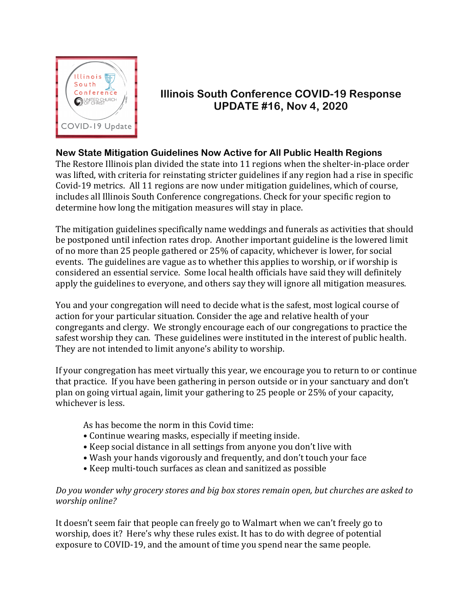

# **Illinois South Conference COVID-19 Response UPDATE #16, Nov 4, 2020**

## **New State Mitigation Guidelines Now Active for All Public Health Regions**

The Restore Illinois plan divided the state into 11 regions when the shelter-in-place order was lifted, with criteria for reinstating stricter guidelines if any region had a rise in specific Covid-19 metrics. All 11 regions are now under mitigation guidelines, which of course, includes all Illinois South Conference congregations. Check for your specific region to determine how long the mitigation measures will stay in place.

The mitigation guidelines specifically name weddings and funerals as activities that should be postponed until infection rates drop. Another important guideline is the lowered limit of no more than 25 people gathered or 25% of capacity, whichever is lower, for social events. The guidelines are vague as to whether this applies to worship, or if worship is considered an essential service. Some local health officials have said they will definitely apply the guidelines to everyone, and others say they will ignore all mitigation measures.

You and your congregation will need to decide what is the safest, most logical course of action for your particular situation. Consider the age and relative health of your congregants and clergy. We strongly encourage each of our congregations to practice the safest worship they can. These guidelines were instituted in the interest of public health. They are not intended to limit anyone's ability to worship.

If your congregation has meet virtually this year, we encourage you to return to or continue that practice. If you have been gathering in person outside or in your sanctuary and don't plan on going virtual again, limit your gathering to 25 people or 25% of your capacity, whichever is less.

As has become the norm in this Covid time:

- Continue wearing masks, especially if meeting inside.
- Keep social distance in all settings from anyone you don't live with
- Wash your hands vigorously and frequently, and don't touch your face
- Keep multi-touch surfaces as clean and sanitized as possible

### *Do you wonder why grocery stores and big box stores remain open, but churches are asked to worship online?*

It doesn't seem fair that people can freely go to Walmart when we can't freely go to worship, does it? Here's why these rules exist. It has to do with degree of potential exposure to COVID-19, and the amount of time you spend near the same people.